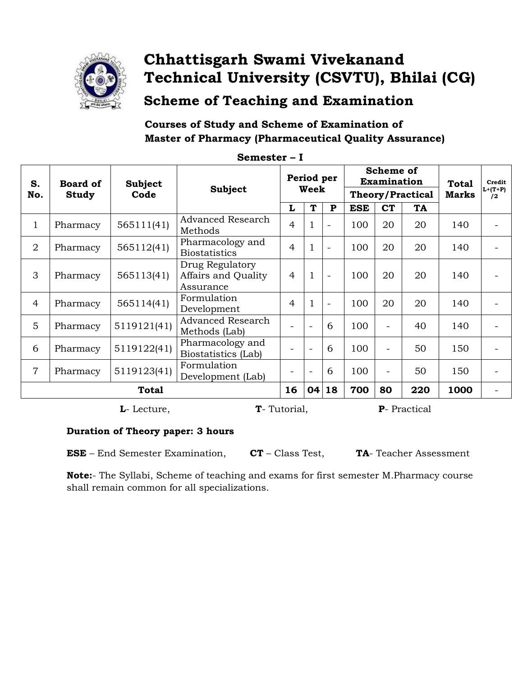

### **Chhattisgarh Swami Vivekanand** Technical University (CSVTU), Bhilai (CG)

**Scheme of Teaching and Examination** 

#### Courses of Study and Scheme of Examination of **Master of Pharmacy (Pharmaceutical Quality Assurance)**

|                |                 |                       | wwwwww                                              |                    |                          |           |                                 |                          |                    |                              |                            |
|----------------|-----------------|-----------------------|-----------------------------------------------------|--------------------|--------------------------|-----------|---------------------------------|--------------------------|--------------------|------------------------------|----------------------------|
| S.             | <b>Board of</b> | Subject               | <b>Subject</b>                                      | Period per<br>Week |                          |           | Scheme of<br><b>Examination</b> |                          |                    | <b>Total</b><br><b>Marks</b> | Credit<br>$L+ (T+P)$<br>/2 |
| No.            | <b>Study</b>    | Code                  |                                                     |                    |                          |           | <b>Theory/Practical</b>         |                          |                    |                              |                            |
|                |                 |                       |                                                     | L                  | T                        | ${\bf P}$ | <b>ESE</b>                      | <b>CT</b>                | TA                 |                              |                            |
| $\mathbf{1}$   | Pharmacy        | 565111(41)            | <b>Advanced Research</b><br>Methods                 | $\overline{4}$     | $\mathbf{1}$             |           | 100                             | 20                       | 20                 | 140                          |                            |
| $\overline{2}$ | Pharmacy        | 565112(41)            | Pharmacology and<br><b>Biostatistics</b>            | $\overline{4}$     | $\mathbf{1}$             |           | 100                             | 20                       | 20                 | 140                          |                            |
| 3              | Pharmacy        | 565113(41)            | Drug Regulatory<br>Affairs and Quality<br>Assurance | $\overline{4}$     | $\mathbf{1}$             |           | 100                             | 20                       | 20                 | 140                          |                            |
| $\overline{4}$ | Pharmacy        | 565114(41)            | Formulation<br>Development                          | $\overline{4}$     | $\mathbf{1}$             |           | 100                             | 20                       | 20                 | 140                          |                            |
| 5              | Pharmacy        | 5119121(41)           | <b>Advanced Research</b><br>Methods (Lab)           |                    |                          | 6         | 100                             | $\overline{\phantom{a}}$ | 40                 | 140                          |                            |
| 6              | Pharmacy        | 5119122(41)           | Pharmacology and<br>Biostatistics (Lab)             |                    | $\overline{a}$           | 6         | 100                             | $\overline{\phantom{a}}$ | 50                 | 150                          |                            |
| $\overline{7}$ | Pharmacy        | 5119123(41)           | Formulation<br>Development (Lab)                    |                    | $\overline{\phantom{0}}$ | 6         | 100                             | $\overline{\phantom{a}}$ | 50                 | 150                          |                            |
|                | <b>Total</b>    |                       |                                                     |                    |                          |           | 700                             | 80                       | 220                | 1000                         |                            |
|                |                 | $I$ $I$ $\alpha$ ture |                                                     | $T$ Tutorial       |                          |           |                                 |                          | <b>D</b> Dractical |                              |                            |

Semester - I

**L**- Lecture,

**T**-Tutorial,

**P**- Practical

#### Duration of Theory paper: 3 hours

**ESE** – End Semester Examination,  $CT - Class Test$ , TA-Teacher Assessment

Note:- The Syllabi, Scheme of teaching and exams for first semester M.Pharmacy course shall remain common for all specializations.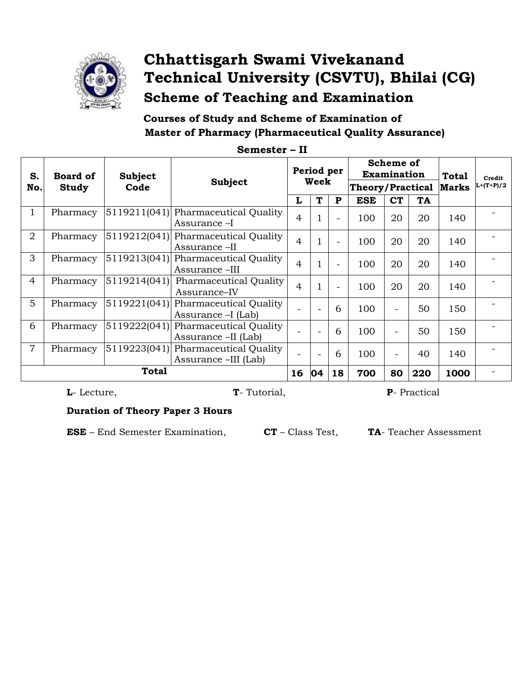

### Chhattisgarh Swami Vivekanand Technical University (CSVTU), Bhilai (CG) **Scheme of Teaching and Examination**

Courses of Study and Scheme of Examination of **Master of Pharmacy (Pharmaceutical Quality Assurance)** 

| S.<br>No.      | <b>Board of</b><br>Study | <b>Subject</b><br>Code | Subject                                                     | Period per<br>Week |   | Scheme of<br>Examination<br><b>Theory/Practical</b> |            |                          | <b>Total</b><br><b>Marks</b> | Credit<br>$L+(T+P)/2$ |  |
|----------------|--------------------------|------------------------|-------------------------------------------------------------|--------------------|---|-----------------------------------------------------|------------|--------------------------|------------------------------|-----------------------|--|
|                |                          |                        |                                                             |                    | T | $\mathbf{P}$                                        | <b>ESE</b> | <b>CT</b>                | <b>TA</b>                    |                       |  |
| $\mathbf{1}$   | Pharmacy                 |                        | 5119211(041) Pharmaceutical Quality<br>Assurance -I         | $\overline{4}$     | 1 |                                                     | 100        | 20                       | 20                           | 140                   |  |
| 2              | Pharmacy                 |                        | 5119212(041) Pharmaceutical Quality<br>Assurance -II        | $\overline{4}$     | 1 |                                                     | 100        | 20                       | 20                           | 140                   |  |
| 3              | Pharmacy                 |                        | 5119213(041) Pharmaceutical Quality<br>Assurance -III       | $\overline{4}$     | 1 |                                                     | 100        | 20                       | 20                           | 140                   |  |
| $\overline{4}$ | Pharmacy                 | 5119214(041)           | Pharmaceutical Quality<br>Assurance-IV                      | $\overline{4}$     | 1 |                                                     | 100        | 20                       | 20                           | 140                   |  |
| $\overline{5}$ | Pharmacy                 |                        | 5119221(041) Pharmaceutical Quality<br>Assurance - I(Lab)   |                    |   | 6                                                   | 100        | $\overline{\phantom{0}}$ | 50                           | 150                   |  |
| 6              | Pharmacy                 |                        | 5119222(041) Pharmaceutical Quality<br>Assurance -II (Lab)  |                    |   | 6                                                   | 100        |                          | 50                           | 150                   |  |
| $\overline{7}$ | Pharmacy                 |                        | 5119223(041) Pharmaceutical Quality<br>Assurance –III (Lab) |                    |   | 6                                                   | 100        |                          | 40                           | 140                   |  |
|                | <b>Total</b>             |                        |                                                             |                    |   | 18                                                  | 700        | 80                       | 220                          | 1000                  |  |

Semester - II

L-Lecture,

**T**-Tutorial,

P- Practical

#### **Duration of Theory Paper 3 Hours**

**ESE** – End Semester Examination,

 $\mathbf{CT}-\text{Class Test},$ 

TA-Teacher Assessment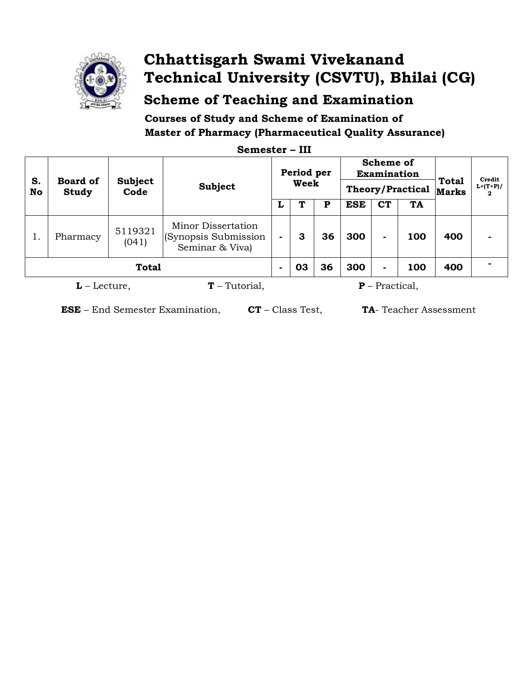

## Chhattisgarh Swami Vivekanand Technical University (CSVTU), Bhilai (CG)

**Scheme of Teaching and Examination** 

Courses of Study and Scheme of Examination of **Master of Pharmacy (Pharmaceutical Quality Assurance)** 

| S.<br>No                          | <b>Board of</b><br><b>Study</b> | <b>Subject</b><br>Code | <b>Subject</b>                                                | Period per<br>Week       |    |    | <b>Scheme of</b><br><b>Examination</b><br><b>Theory/Practical</b> |           |     | Total<br><b>Marks</b> | Credit<br>$L+(T+P)/$<br>2 |
|-----------------------------------|---------------------------------|------------------------|---------------------------------------------------------------|--------------------------|----|----|-------------------------------------------------------------------|-----------|-----|-----------------------|---------------------------|
|                                   |                                 |                        |                                                               |                          |    | P  | <b>ESE</b>                                                        | <b>CT</b> | TA  |                       |                           |
|                                   | Pharmacy                        | 5119321<br>(041)       | Minor Dissertation<br>(Synopsis Submission<br>Seminar & Viva) |                          | З  | 36 | 300                                                               | ۰.        | 100 | 400                   |                           |
| <b>Total</b>                      |                                 |                        |                                                               | $\overline{\phantom{0}}$ | 03 | 36 | 300                                                               |           | 100 | 400                   |                           |
| $T$ – Tutorial,<br>$L$ – Lecture, |                                 |                        |                                                               |                          |    |    | $P$ – Practical,                                                  |           |     |                       |                           |

Semester - III

**ESE** - End Semester Examination, CT - Class Test, TA- Teacher Assessment